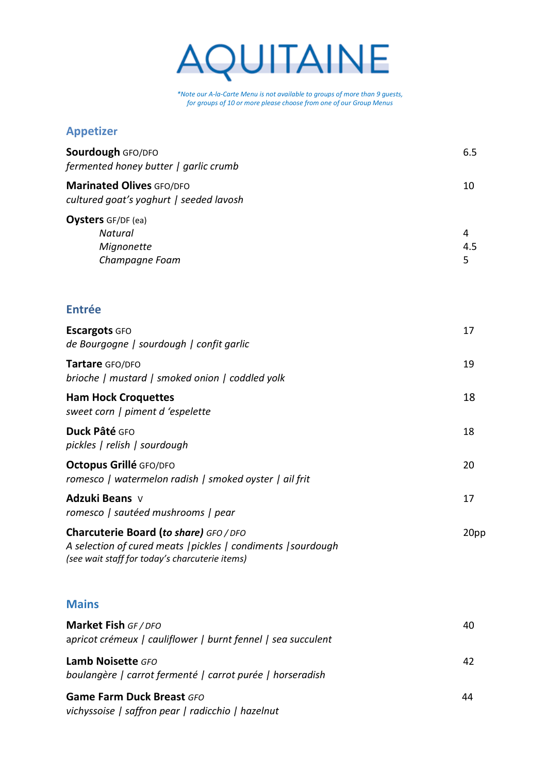

*\*Note our A-la-Carte Menu is not available to groups of more than 9 guests, for groups of 10 or more please choose from one of our Group Menus*

## **Appetizer**

| <b>Marinated Olives GFO/DFO</b><br>10<br>cultured goat's yoghurt   seeded lavosh<br><b>Oysters</b> GF/DF (ea)<br><b>Natural</b><br>4<br>4.5<br>Mignonette<br>Champagne Foam<br>5<br><b>Entrée</b><br>17<br><b>Escargots GFO</b><br>de Bourgogne   sourdough   confit garlic<br>19<br>Tartare GFO/DFO<br>brioche   mustard   smoked onion   coddled yolk<br><b>Ham Hock Croquettes</b><br>18<br>sweet corn   piment d 'espelette<br>Duck Pâté GFO<br>18<br>pickles   relish   sourdough<br>Octopus Grillé GFO/DFO<br>20<br>romesco   watermelon radish   smoked oyster   ail frit<br>Adzuki Beans v<br>17<br>romesco   sautéed mushrooms   pear<br>Charcuterie Board (to share) GFO / DFO<br>A selection of cured meats   pickles   condiments   sourdough<br>(see wait staff for today's charcuterie items)<br><b>Mains</b><br>Market Fish GF / DFO<br>40<br>apricot crémeux   cauliflower   burnt fennel   sea succulent<br><b>Lamb Noisette GFO</b><br>42<br>boulangère   carrot fermenté   carrot purée   horseradish<br><b>Game Farm Duck Breast GFO</b><br>44<br>vichyssoise   saffron pear   radicchio   hazelnut | <b>Sourdough GFO/DFO</b><br>fermented honey butter   garlic crumb | 6.5  |
|-------------------------------------------------------------------------------------------------------------------------------------------------------------------------------------------------------------------------------------------------------------------------------------------------------------------------------------------------------------------------------------------------------------------------------------------------------------------------------------------------------------------------------------------------------------------------------------------------------------------------------------------------------------------------------------------------------------------------------------------------------------------------------------------------------------------------------------------------------------------------------------------------------------------------------------------------------------------------------------------------------------------------------------------------------------------------------------------------------------------------|-------------------------------------------------------------------|------|
|                                                                                                                                                                                                                                                                                                                                                                                                                                                                                                                                                                                                                                                                                                                                                                                                                                                                                                                                                                                                                                                                                                                         |                                                                   |      |
|                                                                                                                                                                                                                                                                                                                                                                                                                                                                                                                                                                                                                                                                                                                                                                                                                                                                                                                                                                                                                                                                                                                         |                                                                   |      |
|                                                                                                                                                                                                                                                                                                                                                                                                                                                                                                                                                                                                                                                                                                                                                                                                                                                                                                                                                                                                                                                                                                                         |                                                                   |      |
|                                                                                                                                                                                                                                                                                                                                                                                                                                                                                                                                                                                                                                                                                                                                                                                                                                                                                                                                                                                                                                                                                                                         |                                                                   |      |
|                                                                                                                                                                                                                                                                                                                                                                                                                                                                                                                                                                                                                                                                                                                                                                                                                                                                                                                                                                                                                                                                                                                         |                                                                   |      |
|                                                                                                                                                                                                                                                                                                                                                                                                                                                                                                                                                                                                                                                                                                                                                                                                                                                                                                                                                                                                                                                                                                                         |                                                                   |      |
|                                                                                                                                                                                                                                                                                                                                                                                                                                                                                                                                                                                                                                                                                                                                                                                                                                                                                                                                                                                                                                                                                                                         |                                                                   |      |
|                                                                                                                                                                                                                                                                                                                                                                                                                                                                                                                                                                                                                                                                                                                                                                                                                                                                                                                                                                                                                                                                                                                         |                                                                   |      |
|                                                                                                                                                                                                                                                                                                                                                                                                                                                                                                                                                                                                                                                                                                                                                                                                                                                                                                                                                                                                                                                                                                                         |                                                                   |      |
|                                                                                                                                                                                                                                                                                                                                                                                                                                                                                                                                                                                                                                                                                                                                                                                                                                                                                                                                                                                                                                                                                                                         |                                                                   | 20pp |
|                                                                                                                                                                                                                                                                                                                                                                                                                                                                                                                                                                                                                                                                                                                                                                                                                                                                                                                                                                                                                                                                                                                         |                                                                   |      |
|                                                                                                                                                                                                                                                                                                                                                                                                                                                                                                                                                                                                                                                                                                                                                                                                                                                                                                                                                                                                                                                                                                                         |                                                                   |      |
|                                                                                                                                                                                                                                                                                                                                                                                                                                                                                                                                                                                                                                                                                                                                                                                                                                                                                                                                                                                                                                                                                                                         |                                                                   |      |
|                                                                                                                                                                                                                                                                                                                                                                                                                                                                                                                                                                                                                                                                                                                                                                                                                                                                                                                                                                                                                                                                                                                         |                                                                   |      |